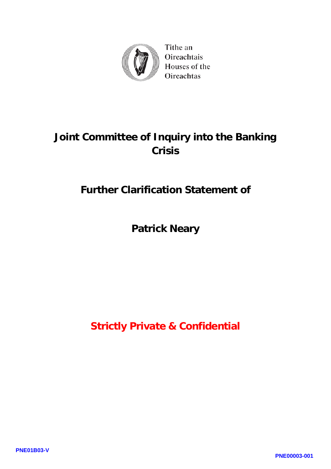

Tithe an Oireachtais Houses of the Oireachtas

## **Joint Committee of Inquiry into the Banking Crisis**

## **Further Clarification Statement of**

## **Patrick Neary**

**Strictly Private & Confidential**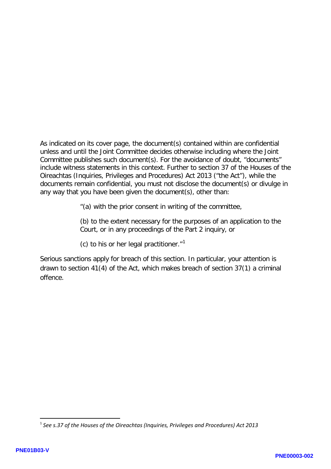As indicated on its cover page, the document(s) contained within are confidential unless and until the Joint Committee decides otherwise including where the Joint Committee publishes such document(s). For the avoidance of doubt, "documents" include witness statements in this context. Further to section 37 of the Houses of the Oireachtas (Inquiries, Privileges and Procedures) Act 2013 ("the Act"), while the documents remain confidential, you must not disclose the document(s) or divulge in any way that you have been given the document(s), other than:

"(a) with the prior consent in writing of the committee,

(b) to the extent necessary for the purposes of an application to the Court, or in any proceedings of the Part 2 inquiry, or

(c) to his or her legal practitioner. $1$ <sup>1</sup>

Serious sanctions apply for breach of this section. In particular, your attention is drawn to section 41(4) of the Act, which makes breach of section 37(1) a criminal offence.

**.** 

<span id="page-1-0"></span><sup>1</sup> *See s.37 of the Houses of the Oireachtas (Inquiries, Privileges and Procedures) Act 2013*